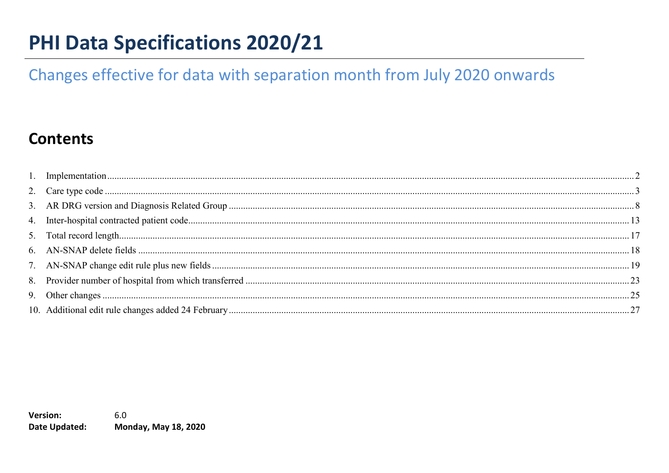# **PHI Data Specifications 2020/21**

# Changes effective for data with separation month from July 2020 onwards

# **Contents**

**Version:** 6.0 Date Updated: **Monday, May 18, 2020**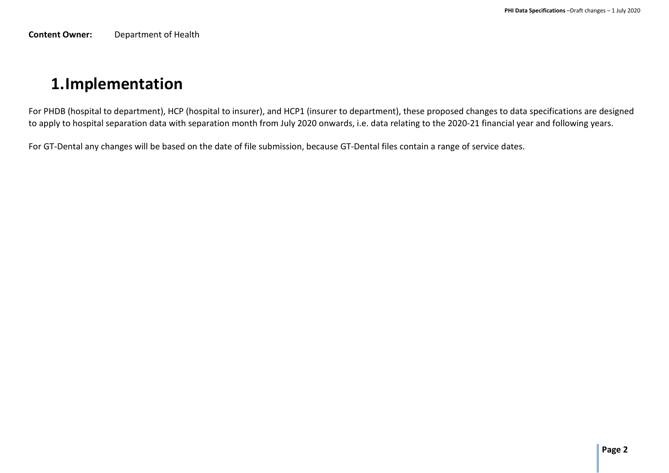**Content Owner:** Department of Health

# <span id="page-1-0"></span>**1.Implementation**

For PHDB (hospital to department), HCP (hospital to insurer), and HCP1 (insurer to department), these proposed changes to data specifications are designed to apply to hospital separation data with separation month from July 2020 onwards, i.e. data relating to the 2020-21 financial year and following years.

For GT-Dental any changes will be based on the date of file submission, because GT-Dental files contain a range of service dates.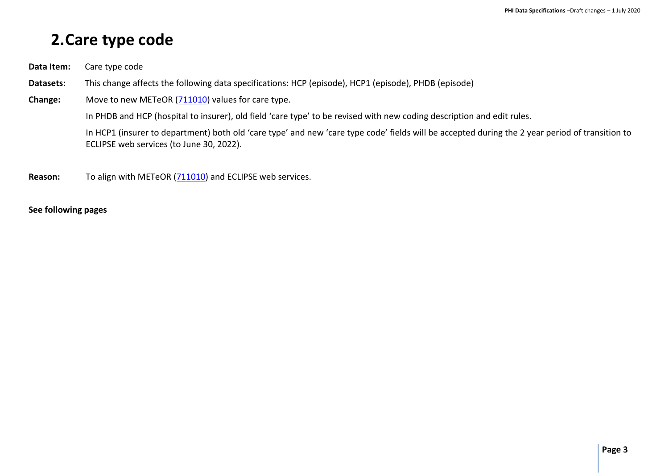# <span id="page-2-0"></span>**2.Care type code**

- **Data Item:** Care type code
- **Datasets:** This change affects the following data specifications: HCP (episode), HCP1 (episode), PHDB (episode)
- **Change:** Move to new METeOR [\(711010\)](https://meteor.aihw.gov.au/content/index.phtml/itemId/711010) values for care type.

In PHDB and HCP (hospital to insurer), old field 'care type' to be revised with new coding description and edit rules.

In HCP1 (insurer to department) both old 'care type' and new 'care type code' fields will be accepted during the 2 year period of transition to ECLIPSE web services (to June 30, 2022).

**Reason:** To align with METeOR [\(711010\)](https://meteor.aihw.gov.au/content/index.phtml/itemId/711010) and ECLIPSE web services.

#### **See following pages**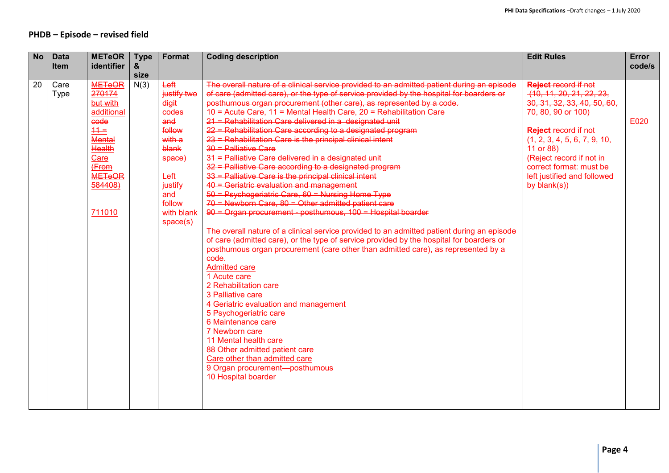### **PHDB – Episode – revised field**

| <b>No</b> | <b>Data</b> | <b>METeOR</b>  | <b>Type</b> | <b>Format</b> | <b>Coding description</b>                                                                  | <b>Edit Rules</b>            | Error  |
|-----------|-------------|----------------|-------------|---------------|--------------------------------------------------------------------------------------------|------------------------------|--------|
|           | Item        | identifier     | &           |               |                                                                                            |                              | code/s |
|           |             |                | size        |               |                                                                                            |                              |        |
| 20        | Care        | <b>METeOR</b>  | N(3)        | Left          | The overall nature of a clinical service provided to an admitted patient during an episode | <b>Reject record if not</b>  |        |
|           | <b>Type</b> | 270174         |             | justify two   | of care (admitted care), or the type of service provided by the hospital for boarders or   | (10, 11, 20, 21, 22, 23,     |        |
|           |             | but with       |             | digit         | posthumous organ procurement (other care), as represented by a code.                       | 30, 31, 32, 33, 40, 50, 60,  |        |
|           |             | additional     |             | codes         | $10 =$ Acute Care, 11 = Mental Health Care, 20 = Rehabilitation Care                       | 70, 80, 90 or 100)           |        |
|           |             | $e$ ode        |             | and           | 21 = Rehabilitation Care delivered in a designated unit                                    |                              | E020   |
|           |             | $\frac{44}{5}$ |             | follow        | 22 = Rehabilitation Care according to a designated program                                 | <b>Reject record if not</b>  |        |
|           |             | <b>Mental</b>  |             | with a        | 23 = Rehabilitation Care is the principal clinical intent                                  | (1, 2, 3, 4, 5, 6, 7, 9, 10, |        |
|           |             | Health         |             | blank         | 30 = Palliative Care                                                                       | 11 or 88)                    |        |
|           |             | Gare           |             | space)        | 31 = Palliative Care delivered in a designated unit                                        | (Reject record if not in     |        |
|           |             | (From          |             |               | 32 = Palliative Care according to a designated program                                     | correct format: must be      |        |
|           |             | <b>METeOR</b>  |             | Left          | 33 = Palliative Care is the principal clinical intent                                      | left justified and followed  |        |
|           |             | 584408)        |             | justify       | 40 = Geriatric evaluation and management                                                   | by $blank(s))$               |        |
|           |             |                |             | and           | 50 = Psychogeriatric Care, 60 = Nursing Home Type                                          |                              |        |
|           |             |                |             | follow        | $70$ = Newborn Care, 80 = Other admitted patient care                                      |                              |        |
|           |             | 711010         |             | with blank    | $90 -$ Organ procurement - posthumous, $100 -$ Hospital boarder                            |                              |        |
|           |             |                |             | space(s)      |                                                                                            |                              |        |
|           |             |                |             |               | The overall nature of a clinical service provided to an admitted patient during an episode |                              |        |
|           |             |                |             |               | of care (admitted care), or the type of service provided by the hospital for boarders or   |                              |        |
|           |             |                |             |               | posthumous organ procurement (care other than admitted care), as represented by a          |                              |        |
|           |             |                |             |               | code.                                                                                      |                              |        |
|           |             |                |             |               | <b>Admitted care</b>                                                                       |                              |        |
|           |             |                |             |               | 1 Acute care                                                                               |                              |        |
|           |             |                |             |               | 2 Rehabilitation care                                                                      |                              |        |
|           |             |                |             |               | 3 Palliative care                                                                          |                              |        |
|           |             |                |             |               | 4 Geriatric evaluation and management                                                      |                              |        |
|           |             |                |             |               | 5 Psychogeriatric care                                                                     |                              |        |
|           |             |                |             |               | 6 Maintenance care                                                                         |                              |        |
|           |             |                |             |               | 7 Newborn care                                                                             |                              |        |
|           |             |                |             |               | 11 Mental health care                                                                      |                              |        |
|           |             |                |             |               | 88 Other admitted patient care                                                             |                              |        |
|           |             |                |             |               | Care other than admitted care                                                              |                              |        |
|           |             |                |             |               | 9 Organ procurement-posthumous                                                             |                              |        |
|           |             |                |             |               | 10 Hospital boarder                                                                        |                              |        |
|           |             |                |             |               |                                                                                            |                              |        |
|           |             |                |             |               |                                                                                            |                              |        |
|           |             |                |             |               |                                                                                            |                              |        |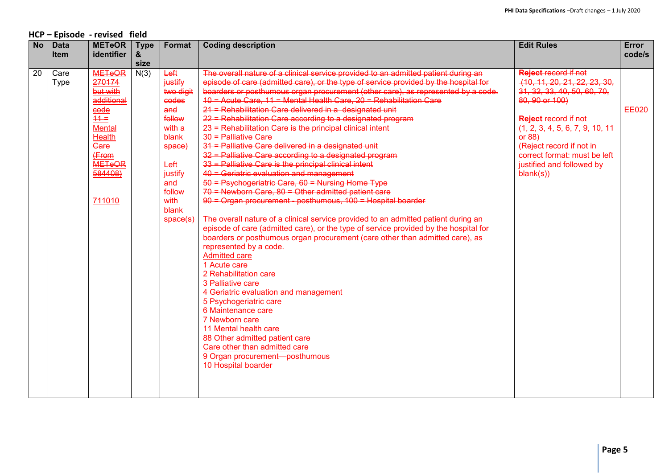### **HCP – Episode - revised field**

| <b>No</b> | <b>Data</b> | <b>METeOR</b> | <b>Type</b> | Format    | <b>Coding description</b>                                                            | <b>Edit Rules</b>                | <b>Error</b> |
|-----------|-------------|---------------|-------------|-----------|--------------------------------------------------------------------------------------|----------------------------------|--------------|
|           | <b>Item</b> | identifier    | &           |           |                                                                                      |                                  | code/s       |
|           |             |               | size        |           |                                                                                      |                                  |              |
| 20        | Care        | <b>METeOR</b> | N(3)        | Left      | The overall nature of a clinical service provided to an admitted patient during an   | <b>Reject record if not</b>      |              |
|           | <b>Type</b> | 270174        |             | justify   | episode of care (admitted care), or the type of service provided by the hospital for | (10, 11, 20, 21, 22, 23, 30,     |              |
|           |             | but with      |             | two digit | boarders or posthumous organ procurement (other care), as represented by a code.     | 31, 32, 33, 40, 50, 60, 70,      |              |
|           |             | additional    |             | codes     | $10 =$ Acute Care, 11 = Mental Health Care, 20 = Rehabilitation Care                 | 80, 90 or 100)                   |              |
|           |             | code          |             | and       | 21 = Rehabilitation Care delivered in a designated unit                              |                                  | <b>EE020</b> |
|           |             | $11 =$        |             | follow    | 22 = Rehabilitation Care according to a designated program                           | <b>Reject record if not</b>      |              |
|           |             | <b>Mental</b> |             | with a    | 23 = Rehabilitation Care is the principal clinical intent                            | (1, 2, 3, 4, 5, 6, 7, 9, 10, 11) |              |
|           |             | Health        |             | blank     | 30 = Palliative Care                                                                 | or 88)                           |              |
|           |             | Gare          |             | space)    | 31 = Palliative Care delivered in a designated unit                                  | (Reject record if not in         |              |
|           |             | (From         |             |           | 32 = Palliative Care according to a designated program                               | correct format: must be left     |              |
|           |             | <b>METeOR</b> |             | Left      | 33 = Palliative Care is the principal clinical intent                                | justified and followed by        |              |
|           |             | 584408)       |             | justify   | 40 = Geriatric evaluation and management                                             | blank(s))                        |              |
|           |             |               |             | and       | $50 =$ Psychogeriatric Care, 60 = Nursing Home Type                                  |                                  |              |
|           |             |               |             | follow    | $70$ = Newborn Care, 80 = Other admitted patient care                                |                                  |              |
|           |             | 711010        |             | with      | 90 = Organ procurement - posthumous, 100 = Hospital boarder                          |                                  |              |
|           |             |               |             | blank     |                                                                                      |                                  |              |
|           |             |               |             | space(s)  | The overall nature of a clinical service provided to an admitted patient during an   |                                  |              |
|           |             |               |             |           | episode of care (admitted care), or the type of service provided by the hospital for |                                  |              |
|           |             |               |             |           | boarders or posthumous organ procurement (care other than admitted care), as         |                                  |              |
|           |             |               |             |           | represented by a code.                                                               |                                  |              |
|           |             |               |             |           | <b>Admitted care</b>                                                                 |                                  |              |
|           |             |               |             |           | 1 Acute care                                                                         |                                  |              |
|           |             |               |             |           | 2 Rehabilitation care                                                                |                                  |              |
|           |             |               |             |           | 3 Palliative care                                                                    |                                  |              |
|           |             |               |             |           | 4 Geriatric evaluation and management                                                |                                  |              |
|           |             |               |             |           | 5 Psychogeriatric care                                                               |                                  |              |
|           |             |               |             |           | 6 Maintenance care                                                                   |                                  |              |
|           |             |               |             |           | 7 Newborn care                                                                       |                                  |              |
|           |             |               |             |           | 11 Mental health care                                                                |                                  |              |
|           |             |               |             |           | 88 Other admitted patient care                                                       |                                  |              |
|           |             |               |             |           | Care other than admitted care                                                        |                                  |              |
|           |             |               |             |           | 9 Organ procurement-posthumous                                                       |                                  |              |
|           |             |               |             |           | 10 Hospital boarder                                                                  |                                  |              |
|           |             |               |             |           |                                                                                      |                                  |              |
|           |             |               |             |           |                                                                                      |                                  |              |
|           |             |               |             |           |                                                                                      |                                  |              |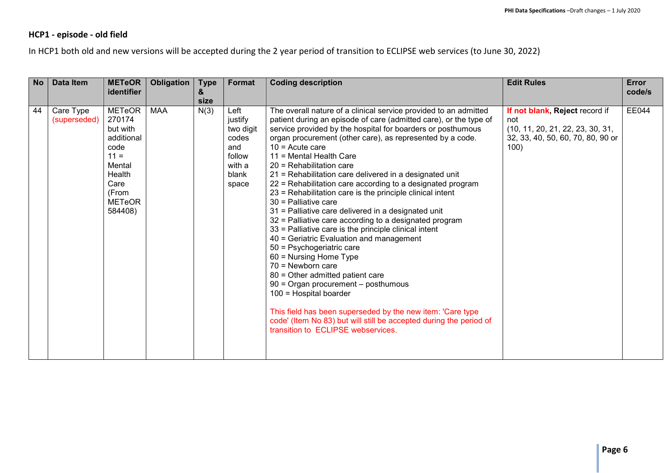### **HCP1 - episode - old field**

In HCP1 both old and new versions will be accepted during the 2 year period of transition to ECLIPSE web services (to June 30, 2022)

| <b>No</b> | <b>Data Item</b>          | <b>METeOR</b><br>identifier                                                                                                          | Obligation | <b>Type</b><br>&<br>size | Format                                                                             | <b>Coding description</b>                                                                                                                                                                                                                                                                                                                                                                                                                                                                                                                                                                                                                                                                                                                                                                                                                                                                                                                                                                                                                                                                                                                              | <b>Edit Rules</b>                                                                                                      | <b>Error</b><br>code/s |
|-----------|---------------------------|--------------------------------------------------------------------------------------------------------------------------------------|------------|--------------------------|------------------------------------------------------------------------------------|--------------------------------------------------------------------------------------------------------------------------------------------------------------------------------------------------------------------------------------------------------------------------------------------------------------------------------------------------------------------------------------------------------------------------------------------------------------------------------------------------------------------------------------------------------------------------------------------------------------------------------------------------------------------------------------------------------------------------------------------------------------------------------------------------------------------------------------------------------------------------------------------------------------------------------------------------------------------------------------------------------------------------------------------------------------------------------------------------------------------------------------------------------|------------------------------------------------------------------------------------------------------------------------|------------------------|
| 44        | Care Type<br>(superseded) | <b>METeOR</b><br>270174<br>but with<br>additional<br>code<br>$11 =$<br>Mental<br>Health<br>Care<br>(From<br><b>METeOR</b><br>584408) | <b>MAA</b> | N(3)                     | Left<br>justify<br>two digit<br>codes<br>and<br>follow<br>with a<br>blank<br>space | The overall nature of a clinical service provided to an admitted<br>patient during an episode of care (admitted care), or the type of<br>service provided by the hospital for boarders or posthumous<br>organ procurement (other care), as represented by a code.<br>$10 =$ Acute care<br>11 = Mental Health Care<br>$20$ = Rehabilitation care<br>21 = Rehabilitation care delivered in a designated unit<br>22 = Rehabilitation care according to a designated program<br>23 = Rehabilitation care is the principle clinical intent<br>$30$ = Palliative care<br>31 = Palliative care delivered in a designated unit<br>32 = Palliative care according to a designated program<br>$33$ = Palliative care is the principle clinical intent<br>40 = Geriatric Evaluation and management<br>50 = Psychogeriatric care<br>$60$ = Nursing Home Type<br>$70$ = Newborn care<br>80 = Other admitted patient care<br>90 = Organ procurement - posthumous<br>100 = Hospital boarder<br>This field has been superseded by the new item: 'Care type<br>code' (Item No 83) but will still be accepted during the period of<br>transition to ECLIPSE webservices. | If not blank, Reject record if<br>not<br>(10, 11, 20, 21, 22, 23, 30, 31,<br>32, 33, 40, 50, 60, 70, 80, 90 or<br>100) | <b>EE044</b>           |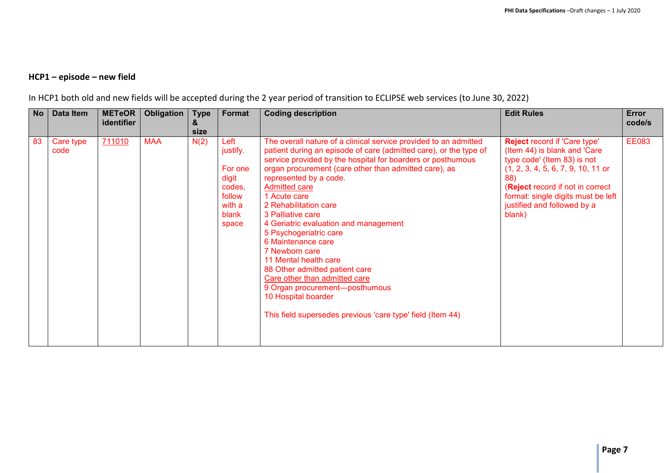# **HCP1 – episode – new field**

| In HCP1 both old and new fields will be accepted during the 2 year period of transition to ECLIPSE web services (to June 30, 2022) |  |  |
|------------------------------------------------------------------------------------------------------------------------------------|--|--|
|------------------------------------------------------------------------------------------------------------------------------------|--|--|

| <b>No</b> | Data Item         | <b>METeOR</b><br>identifier | Obligation | <b>Type</b><br>&<br>size | Format                                                                               | <b>Coding description</b>                                                                                                                                                                                                                                                                                                                                                                                                                                                                                                                                                                                                                                                                                   | <b>Edit Rules</b>                                                                                                                                                                                                                                                    | Error<br>code/s |
|-----------|-------------------|-----------------------------|------------|--------------------------|--------------------------------------------------------------------------------------|-------------------------------------------------------------------------------------------------------------------------------------------------------------------------------------------------------------------------------------------------------------------------------------------------------------------------------------------------------------------------------------------------------------------------------------------------------------------------------------------------------------------------------------------------------------------------------------------------------------------------------------------------------------------------------------------------------------|----------------------------------------------------------------------------------------------------------------------------------------------------------------------------------------------------------------------------------------------------------------------|-----------------|
| 83        | Care type<br>code | 711010                      | <b>MAA</b> | N(2)                     | Left<br>justify.<br>For one<br>digit<br>codes,<br>follow<br>with a<br>blank<br>space | The overall nature of a clinical service provided to an admitted<br>patient during an episode of care (admitted care), or the type of<br>service provided by the hospital for boarders or posthumous<br>organ procurement (care other than admitted care), as<br>represented by a code.<br><b>Admitted care</b><br>1 Acute care<br>2 Rehabilitation care<br>3 Palliative care<br>4 Geriatric evaluation and management<br>5 Psychogeriatric care<br>6 Maintenance care<br>7 Newborn care<br>11 Mental health care<br>88 Other admitted patient care<br>Care other than admitted care<br>9 Organ procurement-posthumous<br>10 Hospital boarder<br>This field supersedes previous 'care type' field (Item 44) | <b>Reject record if 'Care type'</b><br>(Item 44) is blank and 'Care<br>type code' (Item 83) is not<br>$(1, 2, 3, 4, 5, 6, 7, 9, 10, 11$ or<br>88)<br>(Reject record if not in correct<br>format: single digits must be left<br>justified and followed by a<br>blank) | <b>EE083</b>    |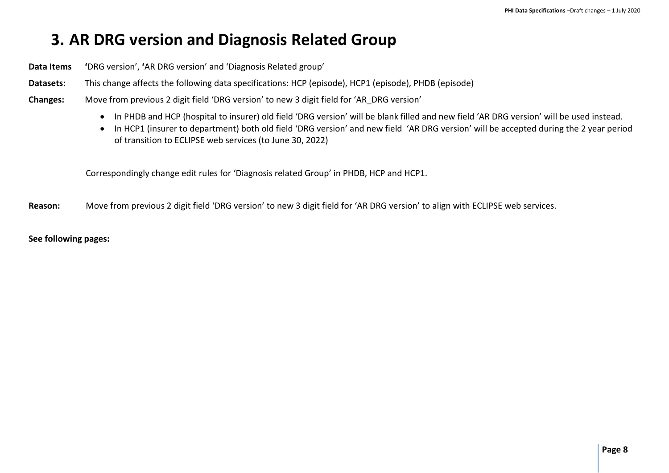# <span id="page-7-0"></span>**3. AR DRG version and Diagnosis Related Group**

**Data Items '**DRG version', **'**AR DRG version' and 'Diagnosis Related group'

**Datasets:** This change affects the following data specifications: HCP (episode), HCP1 (episode), PHDB (episode)

- **Changes:** Move from previous 2 digit field 'DRG version' to new 3 digit field for 'AR\_DRG version'
	- In PHDB and HCP (hospital to insurer) old field 'DRG version' will be blank filled and new field 'AR DRG version' will be used instead.
	- In HCP1 (insurer to department) both old field 'DRG version' and new field 'AR DRG version' will be accepted during the 2 year period of transition to ECLIPSE web services (to June 30, 2022)

Correspondingly change edit rules for 'Diagnosis related Group' in PHDB, HCP and HCP1.

**Reason:** Move from previous 2 digit field 'DRG version' to new 3 digit field for 'AR DRG version' to align with ECLIPSE web services.

**See following pages:**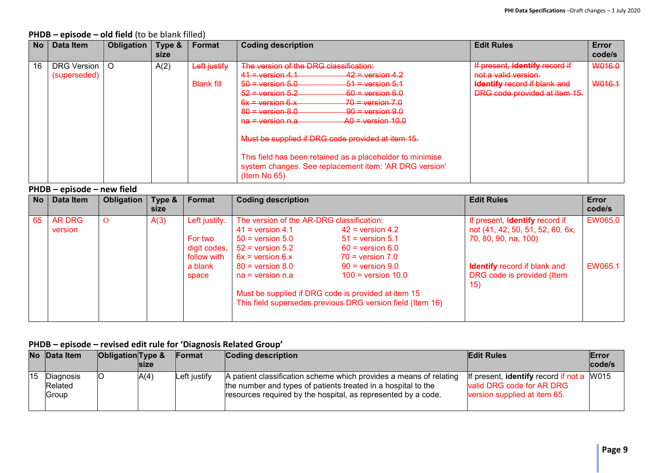| <b>No</b> | Data Item                          | Obligation | Type &<br>size | <b>Format</b>                     | <b>Coding description</b>                                                                                                                                                                                                                                                                                                                                                                                                                                                                                                                     | <b>Edit Rules</b>                                                                                                              | Error<br>code/s  |  |  |  |  |  |  |
|-----------|------------------------------------|------------|----------------|-----------------------------------|-----------------------------------------------------------------------------------------------------------------------------------------------------------------------------------------------------------------------------------------------------------------------------------------------------------------------------------------------------------------------------------------------------------------------------------------------------------------------------------------------------------------------------------------------|--------------------------------------------------------------------------------------------------------------------------------|------------------|--|--|--|--|--|--|
| 16        | <b>DRG Version</b><br>(superseded) | $\circ$    | A(2)           | Left justify<br><b>Blank fill</b> | The version of the DRG classification:<br>$41 =$ version 4.1<br>$42$ = version 4.2<br>$50 = \text{version } 5.0$<br>$51 =$ version $5.1$<br>$60 =$ version 6.0<br>$52$ = version $5.2$<br>$-70$ = version 7.0<br>$6x =$ version $6.x$<br>$80 =$ version $8.0$<br>$90 =$ version $9.0$<br>$AO = version 10.0$<br><del>na = version n.a</del><br>Must be supplied if DRG code provided at item 15.<br>This field has been retained as a placeholder to minimise<br>system changes. See replacement item: 'AR DRG version'<br>$($ ltem No 65 $)$ | If present, identify record if<br>not a valid version.<br><b>Identify record if blank and</b><br>DRG code provided at item 15. | W016.0<br>W016.1 |  |  |  |  |  |  |

#### **PHDB – episode – old field** (to be blank filled)

**PHDB – episode – new field**

| No | Data Item                | Obligation | Type &<br><b>size</b> | Format                                                                      | <b>Coding description</b>                                                                                                                                                           |                                                                                                                                                                                                                                                                 | <b>Edit Rules</b>                                                                                                                                                      | <b>Error</b><br>code/s |
|----|--------------------------|------------|-----------------------|-----------------------------------------------------------------------------|-------------------------------------------------------------------------------------------------------------------------------------------------------------------------------------|-----------------------------------------------------------------------------------------------------------------------------------------------------------------------------------------------------------------------------------------------------------------|------------------------------------------------------------------------------------------------------------------------------------------------------------------------|------------------------|
| 65 | <b>AR DRG</b><br>version |            | A(3)                  | Left justify.<br>For two<br>digit codes,<br>follow with<br>a blank<br>space | The version of the AR-DRG classification:<br>$41$ = version 4.1<br>$50 =$ version $5.0$<br>$52$ = version $5.2$<br>$6x = version 6.x$<br>$80 =$ version $8.0$<br>$na = version n.a$ | $42$ = version 4.2<br>$51$ = version 5.1<br>$60 =$ version $6.0$<br>$70 =$ version $7.0$<br>$90 =$ version $9.0$<br>$100 =$ version $10.0$<br>Must be supplied if DRG code is provided at item 15<br>This field supersedes previous DRG version field (Item 16) | If present, identify record if<br>not (41, 42, 50, 51, 52, 60, 6x,<br>70, 80, 90, na, 100)<br><b>Identify</b> record if blank and<br>DRG code is provided (Item<br>15) | EW065.0<br>EW065.1     |

#### **PHDB – episode – revised edit rule for 'Diagnosis Related Group'**

| No Data Item                  | <b>Obligation</b> Type & | <b>Size</b> | <b>IFormat</b> | Coding description                                                                                                                                                                                   | <b>Edit Rules</b>                                                                                             | <b>Error</b><br>code/s |
|-------------------------------|--------------------------|-------------|----------------|------------------------------------------------------------------------------------------------------------------------------------------------------------------------------------------------------|---------------------------------------------------------------------------------------------------------------|------------------------|
| Diagnosis<br>Related<br>Group |                          | A(4)        | Left justifv   | A patient classification scheme which provides a means of relating<br>the number and types of patients treated in a hospital to the<br>resources required by the hospital, as represented by a code. | If present, <b>identify</b> record if not a W015<br>valid DRG code for AR DRG<br>version supplied at item 65. |                        |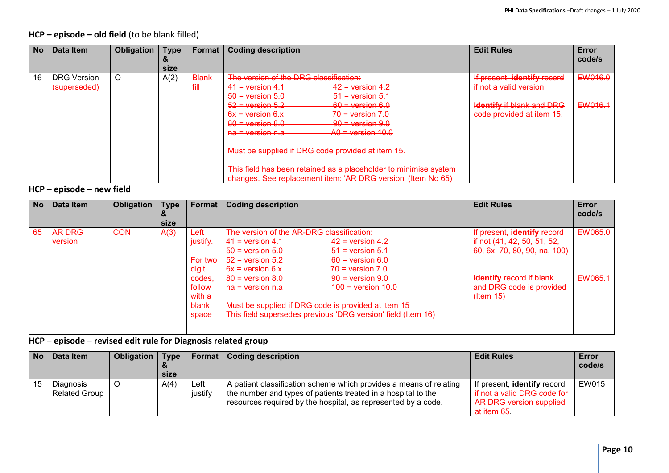### **HCP – episode – old field** (to be blank filled)

| <b>No</b> | Data Item          | <b>Obligation</b> | <b>Type</b> | Format       | <b>Coding description</b>                                        | <b>Edit Rules</b>                | Error<br>code/s |
|-----------|--------------------|-------------------|-------------|--------------|------------------------------------------------------------------|----------------------------------|-----------------|
|           |                    |                   | size        |              |                                                                  |                                  |                 |
| 16        | <b>DRG Version</b> | O                 | A(2)        | <b>Blank</b> | The version of the DRG classification:                           | If present, identify record      | EW016.0         |
|           | (superseded)       |                   |             | fill         | $41 =$ version 4.1<br>$42$ = version 4.2                         | if not a valid version.          |                 |
|           |                    |                   |             |              | $50 =$ version 5.0<br>$51 =$ version $5.1$                       |                                  |                 |
|           |                    |                   |             |              | $52$ = version $5.2$<br>$60 =$ version 6.0                       | <b>Identify if blank and DRG</b> | EW016.1         |
|           |                    |                   |             |              | $6x = version 6.x$<br>$70 =$ version $7.0$                       | code provided at item 15.        |                 |
|           |                    |                   |             |              | $80 =$ version 8.0<br>$90 =$ version $9.0$                       |                                  |                 |
|           |                    |                   |             |              | $A0 =$ version 10.0<br><del>na = version n.a</del>               |                                  |                 |
|           |                    |                   |             |              | Must be supplied if DRG code provided at item 15.                |                                  |                 |
|           |                    |                   |             |              | This field has been retained as a placeholder to minimise system |                                  |                 |
|           |                    |                   |             |              | changes. See replacement item: 'AR DRG version' (Item No 65)     |                                  |                 |

### **HCP – episode – new field**

| <b>No</b> | Data Item                | Obligation | <b>Type</b><br><u>&amp;</u><br>size | Format                                       | <b>Coding description</b>                                                                                                             |                                                                                                                                                                       | <b>Edit Rules</b>                                                                          | Error<br>code/s |
|-----------|--------------------------|------------|-------------------------------------|----------------------------------------------|---------------------------------------------------------------------------------------------------------------------------------------|-----------------------------------------------------------------------------------------------------------------------------------------------------------------------|--------------------------------------------------------------------------------------------|-----------------|
| 65        | <b>AR DRG</b><br>version | <b>CON</b> | A(3)                                | Left<br>justify.<br>For two<br>digit         | The version of the AR-DRG classification:<br>$41$ = version 4.1<br>$50 =$ version $5.0$<br>$52$ = version $5.2$<br>$6x = version 6.x$ | $42$ = version 4.2<br>$51$ = version 5.1<br>$60 =$ version $6.0$<br>$70 =$ version $7.0$                                                                              | If present, identify record<br>if not (41, 42, 50, 51, 52,<br>60, 6x, 70, 80, 90, na, 100) | EW065.0         |
|           |                          |            |                                     | codes,<br>follow<br>with a<br>blank<br>space | $80 =$ version $8.0$<br>$na = version n.a$                                                                                            | $90 =$ version $9.0$<br>$100 =$ version $10.0$<br>Must be supplied if DRG code is provided at item 15<br>This field supersedes previous 'DRG version' field (Item 16) | <b>Identify record if blank</b><br>and DRG code is provided<br>$($ ltem 15 $)$             | EW065.1         |

### **HCP – episode – revised edit rule for Diagnosis related group**

| No | Data Item                         | Obligation | <b>Type</b> | Format          | <b>Coding description</b>                                                                                                                                                                            | <b>Edit Rules</b>                                                                                   | <b>Error</b><br>code/s |
|----|-----------------------------------|------------|-------------|-----------------|------------------------------------------------------------------------------------------------------------------------------------------------------------------------------------------------------|-----------------------------------------------------------------------------------------------------|------------------------|
|    |                                   |            | size        |                 |                                                                                                                                                                                                      |                                                                                                     |                        |
|    | Diagnosis<br><b>Related Group</b> |            | A(4)        | Left<br>justify | A patient classification scheme which provides a means of relating<br>the number and types of patients treated in a hospital to the<br>resources required by the hospital, as represented by a code. | If present, identify record<br>if not a valid DRG code for<br>AR DRG version supplied<br>at item 65 | EW015                  |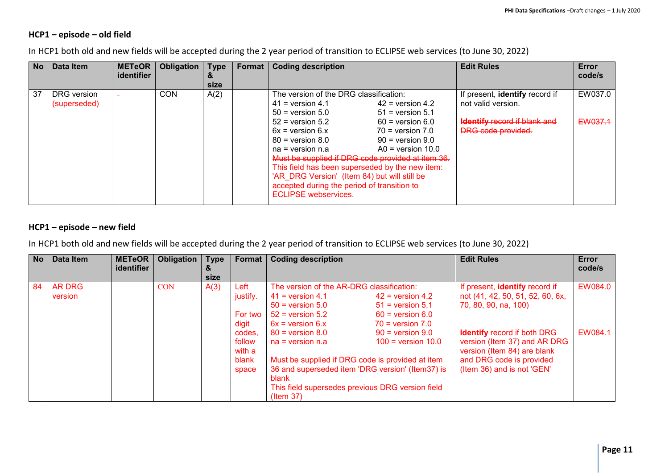#### **HCP1 – episode – old field**

In HCP1 both old and new fields will be accepted during the 2 year period of transition to ECLIPSE web services (to June 30, 2022)

| No | Data Item                   | <b>METeOR</b><br><b>identifier</b> | Obligation | <b>Type</b><br>$\boldsymbol{\alpha}$<br>size | Format I | <b>Coding description</b>                                                                                                                                                                                                                                                                                                                                                                                                |                                                                                                                                         | <b>Edit Rules</b>                                                                                                        | Error<br>code/s    |
|----|-----------------------------|------------------------------------|------------|----------------------------------------------|----------|--------------------------------------------------------------------------------------------------------------------------------------------------------------------------------------------------------------------------------------------------------------------------------------------------------------------------------------------------------------------------------------------------------------------------|-----------------------------------------------------------------------------------------------------------------------------------------|--------------------------------------------------------------------------------------------------------------------------|--------------------|
| 37 | DRG version<br>(superseded) |                                    | <b>CON</b> | A(2)                                         |          | The version of the DRG classification:<br>$41$ = version 4.1<br>$50 =$ version $5.0$<br>$52$ = version $5.2$<br>$6x =$ version $6.x$<br>$80 =$ version $8.0$<br>$na = version n.a$<br>Must be supplied if DRG code provided at item 36.<br>This field has been superseded by the new item:<br>'AR DRG Version' (Item 84) but will still be<br>accepted during the period of transition to<br><b>ECLIPSE</b> webservices. | $42$ = version 4.2<br>$51$ = version 5.1<br>$60 =$ version $6.0$<br>$70 =$ version $7.0$<br>$90 =$ version $9.0$<br>$AO = version 10.0$ | If present, identify record if<br>not valid version.<br><b>Identify record if blank and</b><br><b>DRG</b> code provided. | EW037.0<br>EW037.1 |

### **HCP1 – episode – new field**

In HCP1 both old and new fields will be accepted during the 2 year period of transition to ECLIPSE web services (to June 30, 2022)

| <b>No</b> | <b>Data Item</b>         | <b>METeOR</b><br>identifier | <b>Obligation</b> | <b>Type</b><br>&<br>size | Format                     | <b>Coding description</b>                                                                                                                                                            |                                                                      | <b>Edit Rules</b>                                                                                 | <b>Error</b><br>code/s |
|-----------|--------------------------|-----------------------------|-------------------|--------------------------|----------------------------|--------------------------------------------------------------------------------------------------------------------------------------------------------------------------------------|----------------------------------------------------------------------|---------------------------------------------------------------------------------------------------|------------------------|
| 84        | <b>AR DRG</b><br>version |                             | <b>CON</b>        | A(3)                     | Left<br>justify.           | The version of the AR-DRG classification:<br>$41$ = version 4.1                                                                                                                      | $42$ = version 4.2                                                   | If present, identify record if<br>not (41, 42, 50, 51, 52, 60, 6x,                                | EW084.0                |
|           |                          |                             |                   |                          | For two<br>digit           | $50 =$ version $5.0$<br>$52$ = version $5.2$<br>$6x =$ version $6.x$                                                                                                                 | $51$ = version $5.1$<br>$60 =$ version $6.0$<br>$70 =$ version $7.0$ | 70, 80, 90, na, 100)                                                                              |                        |
|           |                          |                             |                   |                          | codes,<br>follow<br>with a | $80 =$ version $8.0$<br>$na = version n.a$                                                                                                                                           | $90 =$ version $9.0$<br>$100 =$ version $10.0$                       | <b>Identify</b> record if both DRG<br>version (Item 37) and AR DRG<br>version (Item 84) are blank | EW084.1                |
|           |                          |                             |                   |                          | blank<br>space             | Must be supplied if DRG code is provided at item<br>36 and superseded item 'DRG version' (Item37) is<br>blank<br>This field supersedes previous DRG version field<br>$($ ltem 37 $)$ |                                                                      | and DRG code is provided<br>(Item 36) and is not 'GEN'                                            |                        |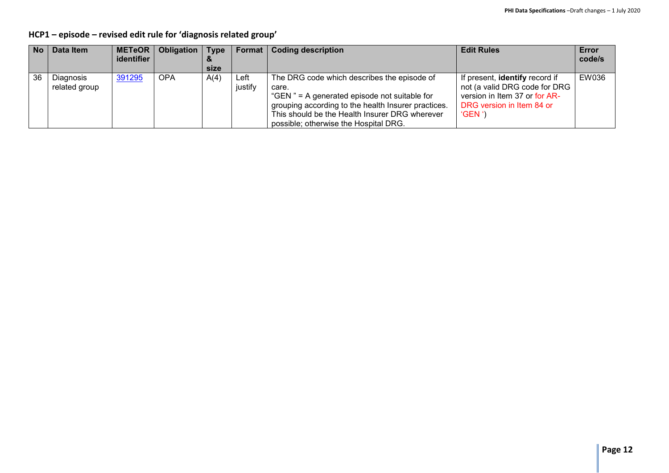**HCP1 – episode – revised edit rule for 'diagnosis related group'**

| <b>No</b> | Data Item                  | <b>METeOR</b><br>identifier | Obligation | <b>Type</b><br>size |                 | Format   Coding description                                                                                                                                                                                                                            | <b>Edit Rules</b>                                                                                                                      | Error<br>code/s |
|-----------|----------------------------|-----------------------------|------------|---------------------|-----------------|--------------------------------------------------------------------------------------------------------------------------------------------------------------------------------------------------------------------------------------------------------|----------------------------------------------------------------------------------------------------------------------------------------|-----------------|
| 36        | Diagnosis<br>related group | 391295                      | <b>OPA</b> | A(4)                | ∟eft<br>justify | The DRG code which describes the episode of<br>care.<br>"GEN" = A generated episode not suitable for<br>grouping according to the health Insurer practices.<br>This should be the Health Insurer DRG wherever<br>possible; otherwise the Hospital DRG. | If present, identify record if<br>not (a valid DRG code for DRG<br>version in Item 37 or for AR-<br>DRG version in Item 84 or<br>'GEN' | EW036           |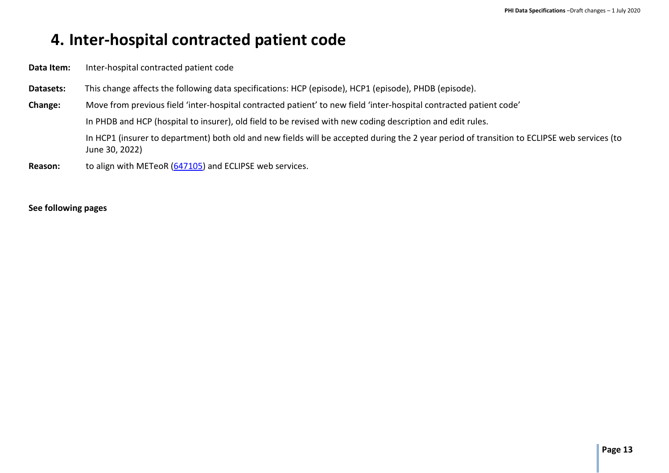# <span id="page-12-0"></span>**4. Inter-hospital contracted patient code**

**Data Item:** Inter-hospital contracted patient code

- **Datasets:** This change affects the following data specifications: HCP (episode), HCP1 (episode), PHDB (episode).
- **Change:** Move from previous field 'inter-hospital contracted patient' to new field 'inter-hospital contracted patient code'

In PHDB and HCP (hospital to insurer), old field to be revised with new coding description and edit rules.

In HCP1 (insurer to department) both old and new fields will be accepted during the 2 year period of transition to ECLIPSE web services (to June 30, 2022)

**Reason:** to align with METeoR [\(647105\)](https://meteor.aihw.gov.au/content/index.phtml/itemId/647105) and ECLIPSE web services.

#### **See following pages**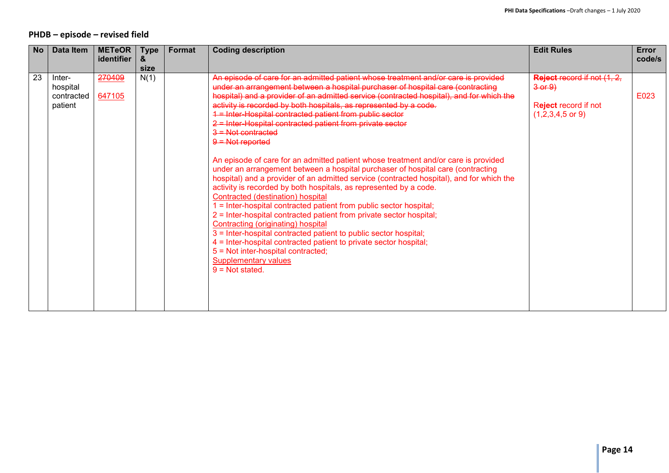### **PHDB – episode – revised field**

| <b>No</b> | Data Item                                   | <b>METeOR</b><br>identifier | <b>Type</b><br>& | <b>Format</b> | <b>Coding description</b>                                                                                                                                                                                                                                                                                                                                                                                                                                                                                                                                                                                                                                                                                                                                                                                                                                                                                                                                                                                                                                                                                                                                                                                                                                                                                         | <b>Edit Rules</b>                                                                                | Error<br>code/s |
|-----------|---------------------------------------------|-----------------------------|------------------|---------------|-------------------------------------------------------------------------------------------------------------------------------------------------------------------------------------------------------------------------------------------------------------------------------------------------------------------------------------------------------------------------------------------------------------------------------------------------------------------------------------------------------------------------------------------------------------------------------------------------------------------------------------------------------------------------------------------------------------------------------------------------------------------------------------------------------------------------------------------------------------------------------------------------------------------------------------------------------------------------------------------------------------------------------------------------------------------------------------------------------------------------------------------------------------------------------------------------------------------------------------------------------------------------------------------------------------------|--------------------------------------------------------------------------------------------------|-----------------|
|           |                                             |                             | size             |               |                                                                                                                                                                                                                                                                                                                                                                                                                                                                                                                                                                                                                                                                                                                                                                                                                                                                                                                                                                                                                                                                                                                                                                                                                                                                                                                   |                                                                                                  |                 |
| 23        | Inter-<br>hospital<br>contracted<br>patient | 270409<br>647105            | N(1)             |               | An episode of care for an admitted patient whose treatment and/or care is provided<br>under an arrangement between a hospital purchaser of hospital care (contracting<br>hospital) and a provider of an admitted service (contracted hospital), and for which the<br>activity is recorded by both hospitals, as represented by a code.<br>1 = Inter-Hospital contracted patient from public sector<br>2 = Inter-Hospital contracted patient from private sector<br>$3 =$ Not contracted<br>$9 =$ Not reported<br>An episode of care for an admitted patient whose treatment and/or care is provided<br>under an arrangement between a hospital purchaser of hospital care (contracting<br>hospital) and a provider of an admitted service (contracted hospital), and for which the<br>activity is recorded by both hospitals, as represented by a code.<br>Contracted (destination) hospital<br>1 = Inter-hospital contracted patient from public sector hospital;<br>2 = Inter-hospital contracted patient from private sector hospital;<br>Contracting (originating) hospital<br>3 = Inter-hospital contracted patient to public sector hospital;<br>4 = Inter-hospital contracted patient to private sector hospital;<br>5 = Not inter-hospital contracted;<br><b>Supplementary values</b><br>$9 = Not stated$ | Reject record if not (1, 2,<br>$3-0f$ $9$<br>Reject record if not<br>$(1,2,3,4,5 \text{ or } 9)$ | E023            |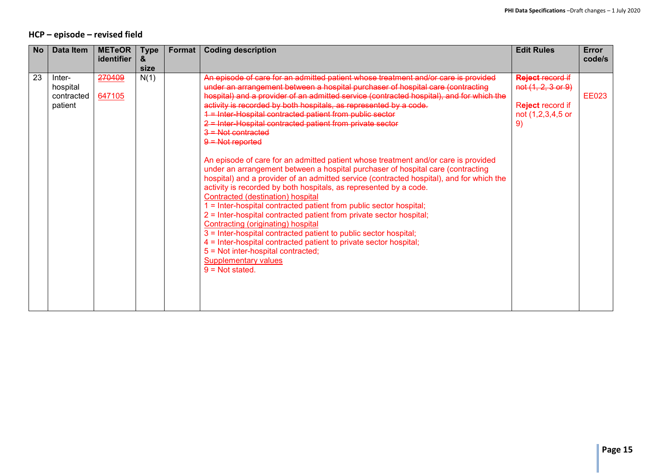### **HCP – episode – revised field**

| No | Data Item                                   | <b>METeOR</b>    | <b>Type</b> | Format | <b>Coding description</b>                                                                                                                                                                                                                                                                                                                                                                                                                                                                                                                                                                                                                                                                                                                                                                                                                                                                                                                                                                                                                                                                                                                                                                                                                                                                                                  | <b>Edit Rules</b>                                                                            | Error        |
|----|---------------------------------------------|------------------|-------------|--------|----------------------------------------------------------------------------------------------------------------------------------------------------------------------------------------------------------------------------------------------------------------------------------------------------------------------------------------------------------------------------------------------------------------------------------------------------------------------------------------------------------------------------------------------------------------------------------------------------------------------------------------------------------------------------------------------------------------------------------------------------------------------------------------------------------------------------------------------------------------------------------------------------------------------------------------------------------------------------------------------------------------------------------------------------------------------------------------------------------------------------------------------------------------------------------------------------------------------------------------------------------------------------------------------------------------------------|----------------------------------------------------------------------------------------------|--------------|
|    |                                             | identifier       | &<br>size   |        |                                                                                                                                                                                                                                                                                                                                                                                                                                                                                                                                                                                                                                                                                                                                                                                                                                                                                                                                                                                                                                                                                                                                                                                                                                                                                                                            |                                                                                              | code/s       |
| 23 | Inter-<br>hospital<br>contracted<br>patient | 270409<br>647105 | N(1)        |        | An episode of care for an admitted patient whose treatment and/or care is provided<br>under an arrangement between a hospital purchaser of hospital care (contracting<br>hospital) and a provider of an admitted service (contracted hospital), and for which the<br>activity is recorded by both hospitals, as represented by a code.<br>1 = Inter-Hospital contracted patient from public sector<br>2 = Inter-Hospital contracted patient from private sector<br><del>3 = Not contracted</del><br>$9 =$ Not reported<br>An episode of care for an admitted patient whose treatment and/or care is provided<br>under an arrangement between a hospital purchaser of hospital care (contracting<br>hospital) and a provider of an admitted service (contracted hospital), and for which the<br>activity is recorded by both hospitals, as represented by a code.<br>Contracted (destination) hospital<br>1 = Inter-hospital contracted patient from public sector hospital;<br>2 = Inter-hospital contracted patient from private sector hospital;<br>Contracting (originating) hospital<br>3 = Inter-hospital contracted patient to public sector hospital;<br>4 = Inter-hospital contracted patient to private sector hospital;<br>5 = Not inter-hospital contracted;<br><b>Supplementary values</b><br>$9 = Not stated$ | <b>Reject record if</b><br>not (1, 2, 3 or 9)<br>Reject record if<br>not (1,2,3,4,5 or<br>9) | <b>EE023</b> |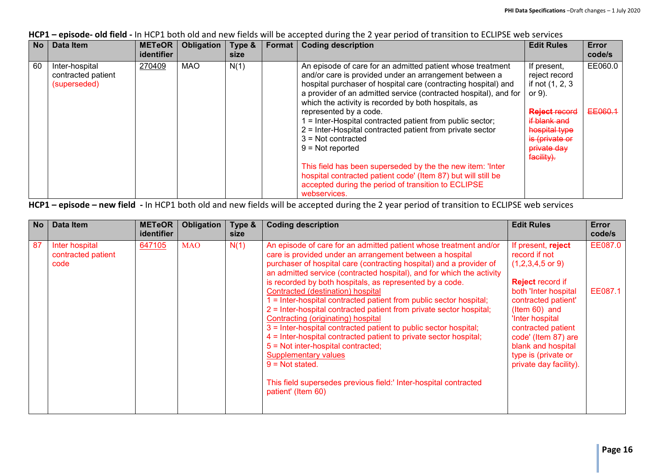**HCP1 – episode- old field -** In HCP1 both old and new fields will be accepted during the 2 year period of transition to ECLIPSE web services

| No | Data Item                                            | <b>METeOR</b><br>identifier | <b>Obligation</b> | Type &<br>size | Format I | <b>Coding description</b>                                                                                                                                                                                                                                                                                          | <b>Edit Rules</b>                                                                                    | Error<br>code/s |
|----|------------------------------------------------------|-----------------------------|-------------------|----------------|----------|--------------------------------------------------------------------------------------------------------------------------------------------------------------------------------------------------------------------------------------------------------------------------------------------------------------------|------------------------------------------------------------------------------------------------------|-----------------|
| 60 | Inter-hospital<br>contracted patient<br>(superseded) | 270409                      | <b>MAO</b>        | N(1)           |          | An episode of care for an admitted patient whose treatment<br>and/or care is provided under an arrangement between a<br>hospital purchaser of hospital care (contracting hospital) and<br>a provider of an admitted service (contracted hospital), and for<br>which the activity is recorded by both hospitals, as | If present,<br>reject record<br>if not (1, 2, 3)<br>or $9$ ).                                        | EE060.0         |
|    |                                                      |                             |                   |                |          | represented by a code.<br>$=$ Inter-Hospital contracted patient from public sector;<br>2 = Inter-Hospital contracted patient from private sector<br>$3 = Not$ contracted<br>$9 = Not$ reported                                                                                                                     | <b>Reject record</b><br>if blank and<br>hospital type<br>is (private or<br>private day<br>facility). | EE060.1         |
|    |                                                      |                             |                   |                |          | This field has been superseded by the the new item: 'Inter<br>hospital contracted patient code' (Item 87) but will still be<br>accepted during the period of transition to ECLIPSE<br>webservices.                                                                                                                 |                                                                                                      |                 |

**HCP1 – episode – new field -** In HCP1 both old and new fields will be accepted during the 2 year period of transition to ECLIPSE web services

| <b>No</b> | Data Item                                    | <b>METeOR</b><br>identifier | Obligation | Type &<br>size | <b>Coding description</b>                                                                                                                                                                                                                                                                                                                                                                                                                                                                                                                                                                                                                                                                                                                                                                                                                                                                       | <b>Edit Rules</b>                                                                                                                                                                                                                                                                                    | Error<br>code/s    |
|-----------|----------------------------------------------|-----------------------------|------------|----------------|-------------------------------------------------------------------------------------------------------------------------------------------------------------------------------------------------------------------------------------------------------------------------------------------------------------------------------------------------------------------------------------------------------------------------------------------------------------------------------------------------------------------------------------------------------------------------------------------------------------------------------------------------------------------------------------------------------------------------------------------------------------------------------------------------------------------------------------------------------------------------------------------------|------------------------------------------------------------------------------------------------------------------------------------------------------------------------------------------------------------------------------------------------------------------------------------------------------|--------------------|
| 87        | Inter hospital<br>contracted patient<br>code | 647105                      | <b>MAO</b> | N(1)           | An episode of care for an admitted patient whose treatment and/or<br>care is provided under an arrangement between a hospital<br>purchaser of hospital care (contracting hospital) and a provider of<br>an admitted service (contracted hospital), and for which the activity<br>is recorded by both hospitals, as represented by a code.<br>Contracted (destination) hospital<br>1 = Inter-hospital contracted patient from public sector hospital;<br>2 = Inter-hospital contracted patient from private sector hospital;<br>Contracting (originating) hospital<br>3 = Inter-hospital contracted patient to public sector hospital;<br>4 = Inter-hospital contracted patient to private sector hospital;<br>5 = Not inter-hospital contracted;<br><b>Supplementary values</b><br>$9 = Not stated$ .<br>This field supersedes previous field:' Inter-hospital contracted<br>patient' (Item 60) | If present, reject<br>record if not<br>$(1,2,3,4,5 \text{ or } 9)$<br><b>Reject record if</b><br>both 'Inter hospital<br>contracted patient'<br>(Item 60) and<br>'Inter hospital<br>contracted patient<br>code' (Item 87) are<br>blank and hospital<br>type is (private or<br>private day facility). | EE087.0<br>EE087.1 |
|           |                                              |                             |            |                |                                                                                                                                                                                                                                                                                                                                                                                                                                                                                                                                                                                                                                                                                                                                                                                                                                                                                                 |                                                                                                                                                                                                                                                                                                      |                    |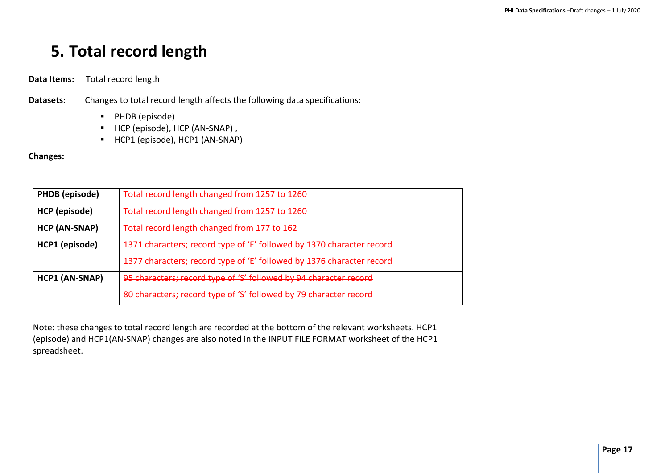# <span id="page-16-0"></span>**5. Total record length**

**Data Items:** Total record length

**Datasets:** Changes to total record length affects the following data specifications:

- **PHDB** (episode)
- HCP (episode), HCP (AN-SNAP),
- HCP1 (episode), HCP1 (AN-SNAP)

#### **Changes:**

| PHDB (episode)       | Total record length changed from 1257 to 1260                         |
|----------------------|-----------------------------------------------------------------------|
| HCP (episode)        | Total record length changed from 1257 to 1260                         |
| <b>HCP (AN-SNAP)</b> | Total record length changed from 177 to 162                           |
| HCP1 (episode)       | 1371 characters; record type of 'E' followed by 1370 character record |
|                      | 1377 characters; record type of 'E' followed by 1376 character record |
| HCP1 (AN-SNAP)       | 95 characters; record type of 'S' followed by 94 character record     |
|                      | 80 characters; record type of 'S' followed by 79 character record     |

Note: these changes to total record length are recorded at the bottom of the relevant worksheets. HCP1 (episode) and HCP1(AN-SNAP) changes are also noted in the INPUT FILE FORMAT worksheet of the HCP1 spreadsheet.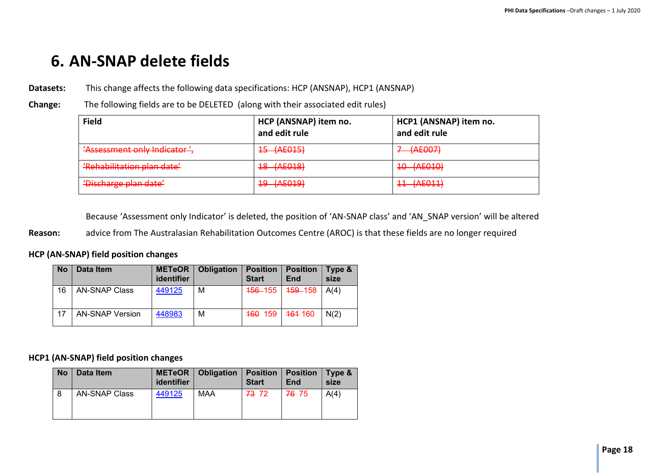# <span id="page-17-0"></span>**6. AN-SNAP delete fields**

**Datasets:** This change affects the following data specifications: HCP (ANSNAP), HCP1 (ANSNAP)

**Change:** The following fields are to be DELETED (along with their associated edit rules)

| <b>Field</b>                                                      | HCP (ANSNAP) item no.<br>and edit rule | HCP1 (ANSNAP) item no.<br>and edit rule                 |
|-------------------------------------------------------------------|----------------------------------------|---------------------------------------------------------|
| 'Assessment only Indicator',                                      | 45 (AE015)                             | $7 - (AE007)$                                           |
| 'Pohobilitation plan data'<br><del>nchabilitation pian uatc</del> | 18 (AE018)                             | 10 (AE010)                                              |
| <u>'Discharge plan date'</u><br><del>Discharge pian aute</del>    | 19 (AE019)                             | $11$ $(\Lambda$ $\Gamma$ 011)<br><del>11 (/\LV11)</del> |

Because 'Assessment only Indicator' is deleted, the position of 'AN-SNAP class' and 'AN\_SNAP version' will be altered

**Reason:** advice from The Australasian Rehabilitation Outcomes Centre (AROC) is that these fields are no longer required

#### **HCP (AN-SNAP) field position changes**

| <b>No</b> | Data Item              | METeOR  <br>identifier | <b>Obligation</b> | <b>Position</b><br><b>Start</b> | <b>Position</b><br>End | Type &<br>size |
|-----------|------------------------|------------------------|-------------------|---------------------------------|------------------------|----------------|
| 16        | <b>AN-SNAP Class</b>   | 449125                 | М                 | <b>456–155</b>                  | <del>159</del> -158    | A(4)           |
|           | <b>AN-SNAP Version</b> | 448983                 | М                 | 460 159                         | <del>161</del> 160     | N(2)           |

#### **HCP1 (AN-SNAP) field position changes**

| <b>No</b> | Data Item            | identifier | <b>METeOR</b>   Obligation | <b>Position</b><br><b>Start</b> | <b>Position</b><br>End | Type &<br>size |
|-----------|----------------------|------------|----------------------------|---------------------------------|------------------------|----------------|
|           | <b>AN-SNAP Class</b> | 449125     | <b>MAA</b>                 | 73 72                           | 76 75                  | A(4)           |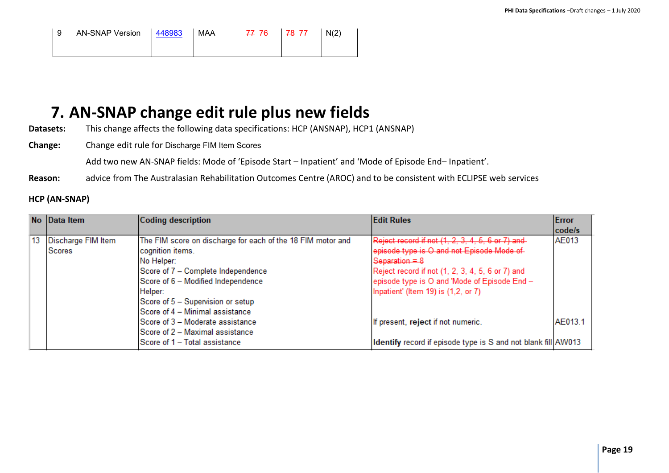| 9 AN-SNAP Version 448983 | MAA | 77 76 78 77 | N(2) |
|--------------------------|-----|-------------|------|
|                          |     |             |      |

# <span id="page-18-0"></span>**7. AN-SNAP change edit rule plus new fields**

**Datasets:** This change affects the following data specifications: HCP (ANSNAP), HCP1 (ANSNAP)

**Change:** Change edit rule for Discharge FIM Item Scores

Add two new AN-SNAP fields: Mode of 'Episode Start – Inpatient' and 'Mode of Episode End– Inpatient'.

**Reason:** advice from The Australasian Rehabilitation Outcomes Centre (AROC) and to be consistent with ECLIPSE web services

### **HCP (AN-SNAP)**

| No Data Item          | Coding description                                          | <b>Edit Rules</b>                                             | Error<br>code/s |
|-----------------------|-------------------------------------------------------------|---------------------------------------------------------------|-----------------|
| 13 Discharge FIM Item | The FIM score on discharge for each of the 18 FIM motor and | Reject record if not (1, 2, 3, 4, 5, 6 or 7) and              | <b>AE013</b>    |
| <b>Scores</b>         | cognition items.                                            | episode type is O and not Episode Mode of                     |                 |
|                       | No Helper:                                                  | Separation = $8$                                              |                 |
|                       | Score of 7 - Complete Independence                          | Reject record if not (1, 2, 3, 4, 5, 6 or 7) and              |                 |
|                       | Score of 6 - Modified Independence                          | episode type is O and 'Mode of Episode End -                  |                 |
|                       | Helper:                                                     | Inpatient' (Item 19) is (1,2, or 7)                           |                 |
|                       | Score of 5 - Supervision or setup                           |                                                               |                 |
|                       | Score of 4 – Minimal assistance                             |                                                               |                 |
|                       | Score of 3 - Moderate assistance                            | If present, reject if not numeric.                            | AE013.1         |
|                       | Score of 2 – Maximal assistance                             |                                                               |                 |
|                       | Score of 1 - Total assistance                               | Identify record if episode type is S and not blank fill AW013 |                 |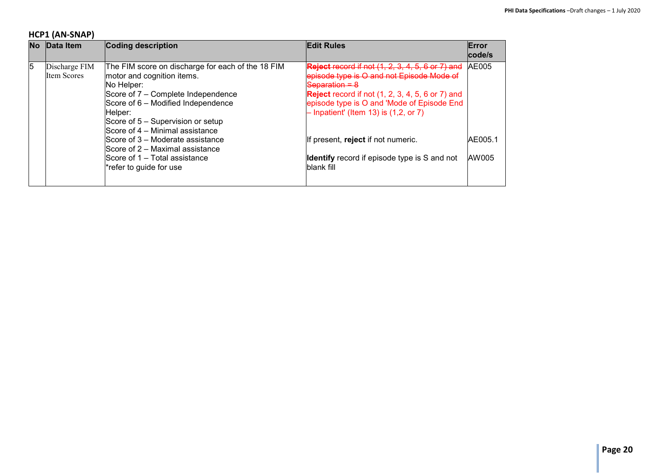# **HCP1 (AN-SNAP)**

| No l | Data Item                           | Coding description                                                                                                                                          | <b>Edit Rules</b>                                                                                                                                  | Error<br>code/s |
|------|-------------------------------------|-------------------------------------------------------------------------------------------------------------------------------------------------------------|----------------------------------------------------------------------------------------------------------------------------------------------------|-----------------|
| 5    | Discharge FIM<br><b>Item Scores</b> | The FIM score on discharge for each of the 18 FIM<br>motor and cognition items.<br>No Helper:                                                               | <b>Reject record if not (1, 2, 3, 4, 5, 6 or 7) and</b><br>episode type is O and not Episode Mode of<br>$S$ eparation = $8$                        | <b>AE005</b>    |
|      |                                     | Score of 7 – Complete Independence<br>Score of 6 - Modified Independence<br>Helper:<br>Score of 5 – Supervision or setup<br>Score of 4 – Minimal assistance | <b>Reject</b> record if not (1, 2, 3, 4, 5, 6 or 7) and<br>episode type is O and 'Mode of Episode End<br>$-$ Inpatient' (Item 13) is $(1,2,$ or 7) |                 |
|      |                                     | Score of 3 – Moderate assistance<br>Score of 2 – Maximal assistance                                                                                         | If present, reject if not numeric.                                                                                                                 | AE005.1         |
|      |                                     | Score of 1 – Total assistance<br>*refer to guide for use                                                                                                    | <b>Identify</b> record if episode type is S and not<br>blank fill                                                                                  | AW005           |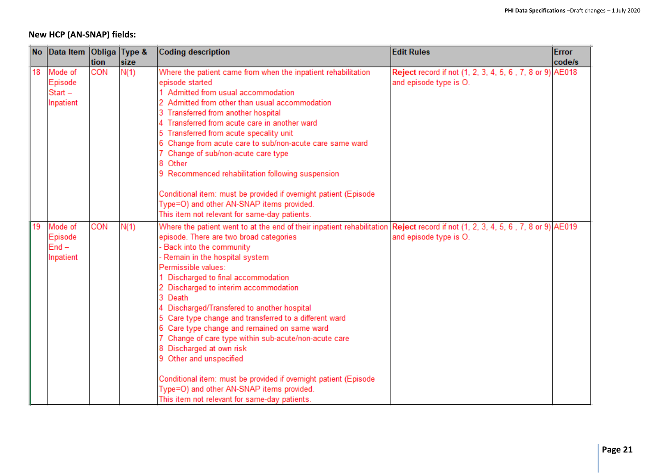# **New HCP (AN-SNAP) fields:**

| <b>No</b> | Data Item Obliga Type &                      |      |      | <b>Edit Rules</b><br>Coding description                                                                                                                                                                                                                                                                                                                                                                                                                                                                                                                                                                                                                                                                                                                                                             |                                                                                    | <b>Error</b> |
|-----------|----------------------------------------------|------|------|-----------------------------------------------------------------------------------------------------------------------------------------------------------------------------------------------------------------------------------------------------------------------------------------------------------------------------------------------------------------------------------------------------------------------------------------------------------------------------------------------------------------------------------------------------------------------------------------------------------------------------------------------------------------------------------------------------------------------------------------------------------------------------------------------------|------------------------------------------------------------------------------------|--------------|
|           |                                              | tion | size |                                                                                                                                                                                                                                                                                                                                                                                                                                                                                                                                                                                                                                                                                                                                                                                                     |                                                                                    | code/s       |
| 18        | Mode of<br>Episode<br>$Start -$<br>Inpatient | CON  | N(1) | Where the patient came from when the inpatient rehabilitation<br>episode started<br>1 Admitted from usual accommodation<br>2 Admitted from other than usual accommodation<br>3 Transferred from another hospital<br>4 Transferred from acute care in another ward<br>5 Transferred from acute specality unit<br>6 Change from acute care to sub/non-acute care same ward<br>7 Change of sub/non-acute care type<br>8 Other<br>9 Recommenced rehabilitation following suspension<br>Conditional item: must be provided if overnight patient (Episode<br>Type=O) and other AN-SNAP items provided.<br>This item not relevant for same-day patients.                                                                                                                                                   | Reject record if not (1, 2, 3, 4, 5, 6, 7, 8 or 9) AE018<br>and episode type is O. |              |
| 119       | Mode of<br>Episode<br>$End -$<br>Inpatient   | CON  | N(1) | Where the patient went to at the end of their inpatient rehabilitation Reject record if not (1, 2, 3, 4, 5, 6, 7, 8 or 9) AE019<br>episode. There are two broad categories<br>Back into the community<br>Remain in the hospital system<br>Permissible values:<br>1 Discharged to final accommodation<br>2 Discharged to interim accommodation<br>3 Death<br>4 Discharged/Transfered to another hospital<br>5 Care type change and transferred to a different ward<br>6 Care type change and remained on same ward<br>7 Change of care type within sub-acute/non-acute care<br>8 Discharged at own risk<br>9 Other and unspecified<br>Conditional item: must be provided if overnight patient (Episode<br>Type=O) and other AN-SNAP items provided.<br>This item not relevant for same-day patients. | and episode type is O.                                                             |              |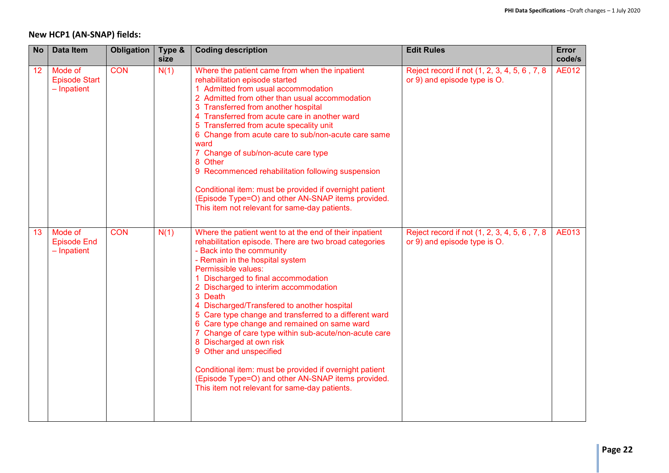# **New HCP1 (AN-SNAP) fields:**

| <b>No</b> | Data Item                                      | <b>Obligation</b> | Type &<br>size | <b>Coding description</b>                                                                                                                                                                                                                                                                                                                                                                                                                                                                                                                                                                                                                                                                                                                      | <b>Edit Rules</b>                                                             | <b>Error</b><br>code/s |
|-----------|------------------------------------------------|-------------------|----------------|------------------------------------------------------------------------------------------------------------------------------------------------------------------------------------------------------------------------------------------------------------------------------------------------------------------------------------------------------------------------------------------------------------------------------------------------------------------------------------------------------------------------------------------------------------------------------------------------------------------------------------------------------------------------------------------------------------------------------------------------|-------------------------------------------------------------------------------|------------------------|
| 12        | Mode of<br><b>Episode Start</b><br>- Inpatient | <b>CON</b>        | N(1)           | Where the patient came from when the inpatient<br>rehabilitation episode started<br>1 Admitted from usual accommodation<br>2 Admitted from other than usual accommodation<br>3 Transferred from another hospital<br>4 Transferred from acute care in another ward<br>5 Transferred from acute specality unit<br>6 Change from acute care to sub/non-acute care same<br>ward<br>7 Change of sub/non-acute care type<br>8 Other<br>9 Recommenced rehabilitation following suspension<br>Conditional item: must be provided if overnight patient<br>(Episode Type=O) and other AN-SNAP items provided.<br>This item not relevant for same-day patients.                                                                                           | Reject record if not (1, 2, 3, 4, 5, 6, 7, 8<br>or 9) and episode type is O.  | <b>AE012</b>           |
| 13        | Mode of<br><b>Episode End</b><br>$-$ Inpatient | <b>CON</b>        | N(1)           | Where the patient went to at the end of their inpatient<br>rehabilitation episode. There are two broad categories<br>- Back into the community<br>- Remain in the hospital system<br>Permissible values:<br>1 Discharged to final accommodation<br>2 Discharged to interim accommodation<br>3 Death<br>4 Discharged/Transfered to another hospital<br>5 Care type change and transferred to a different ward<br>6 Care type change and remained on same ward<br>7 Change of care type within sub-acute/non-acute care<br>8 Discharged at own risk<br>9 Other and unspecified<br>Conditional item: must be provided if overnight patient<br>(Episode Type=O) and other AN-SNAP items provided.<br>This item not relevant for same-day patients. | Reject record if not (1, 2, 3, 4, 5, 6, 7, 8)<br>or 9) and episode type is O. | <b>AE013</b>           |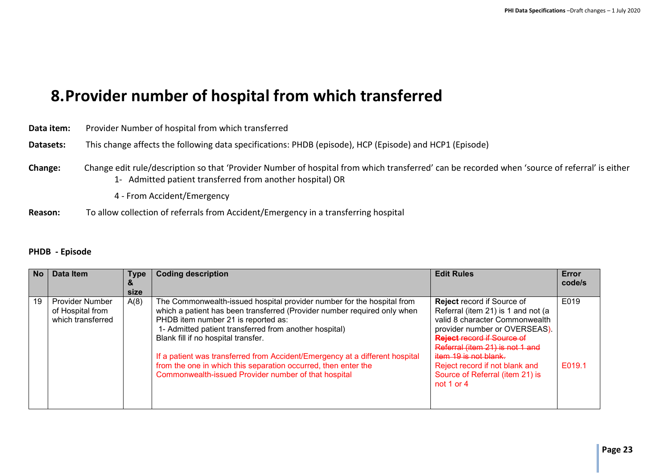# <span id="page-22-0"></span>**8.Provider number of hospital from which transferred**

| Data item: | Provider Number of hospital from which transferred                                                                                                                                                                                        |
|------------|-------------------------------------------------------------------------------------------------------------------------------------------------------------------------------------------------------------------------------------------|
| Datasets:  | This change affects the following data specifications: PHDB (episode), HCP (Episode) and HCP1 (Episode)                                                                                                                                   |
| Change:    | Change edit rule/description so that 'Provider Number of hospital from which transferred' can be recorded when 'source of referral' is either<br>1- Admitted patient transferred from another hospital) OR<br>4 - From Accident/Emergency |
|            |                                                                                                                                                                                                                                           |

### **Reason:** To allow collection of referrals from Accident/Emergency in a transferring hospital

#### **PHDB - Episode**

| <b>No</b> | Data Item                                                       | <b>Type</b><br>size | <b>Coding description</b>                                                                                                                                                                                                                                                                                                                                                                                                                                                                            | <b>Edit Rules</b>                                                                                                                                                                                                                                                                                                              | Error<br>code/s |
|-----------|-----------------------------------------------------------------|---------------------|------------------------------------------------------------------------------------------------------------------------------------------------------------------------------------------------------------------------------------------------------------------------------------------------------------------------------------------------------------------------------------------------------------------------------------------------------------------------------------------------------|--------------------------------------------------------------------------------------------------------------------------------------------------------------------------------------------------------------------------------------------------------------------------------------------------------------------------------|-----------------|
| 19        | <b>Provider Number</b><br>of Hospital from<br>which transferred | A(8)                | The Commonwealth-issued hospital provider number for the hospital from<br>which a patient has been transferred (Provider number required only when<br>PHDB item number 21 is reported as:<br>1- Admitted patient transferred from another hospital)<br>Blank fill if no hospital transfer.<br>If a patient was transferred from Accident/Emergency at a different hospital<br>from the one in which this separation occurred, then enter the<br>Commonwealth-issued Provider number of that hospital | <b>Reject record if Source of</b><br>Referral (item 21) is 1 and not (a<br>valid 8 character Commonwealth<br>provider number or OVERSEAS).<br><b>Reject record if Source of</b><br>Referral (item 21) is not 1 and<br>item 19 is not blank.<br>Reject record if not blank and<br>Source of Referral (item 21) is<br>not 1 or 4 | E019<br>E019.1  |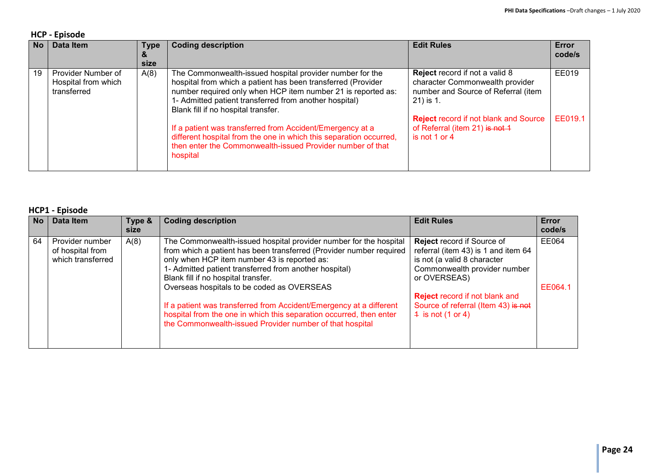#### **HCP - Episode**

| <b>No</b> | <b>Data Item</b>                                         | <b>Type</b><br>&<br>size | <b>Coding description</b>                                                                                                                                                                                                                                                                 | <b>Edit Rules</b>                                                                                                            | Error<br>code/s |
|-----------|----------------------------------------------------------|--------------------------|-------------------------------------------------------------------------------------------------------------------------------------------------------------------------------------------------------------------------------------------------------------------------------------------|------------------------------------------------------------------------------------------------------------------------------|-----------------|
| 19        | Provider Number of<br>Hospital from which<br>transferred | A(8)                     | The Commonwealth-issued hospital provider number for the<br>hospital from which a patient has been transferred (Provider<br>number required only when HCP item number 21 is reported as:<br>1- Admitted patient transferred from another hospital)<br>Blank fill if no hospital transfer. | <b>Reject</b> record if not a valid 8<br>character Commonwealth provider<br>number and Source of Referral (item<br>21) is 1. | EE019           |
|           |                                                          |                          | If a patient was transferred from Accident/Emergency at a<br>different hospital from the one in which this separation occurred,<br>then enter the Commonwealth-issued Provider number of that<br>hospital                                                                                 | <b>Reject record if not blank and Source</b><br>of Referral (item 21) is not 1<br>is not 1 or 4                              | EE019.1         |

#### **HCP1 - Episode**

| <b>No</b> | Data Item                                                | Type &<br>size | <b>Coding description</b>                                                                                                                                                                                                                                                                                                                                                                                                                                                                                                                         | <b>Edit Rules</b>                                                                                                                                                                                                                                                  | Error<br>code/s  |  |  |  |  |
|-----------|----------------------------------------------------------|----------------|---------------------------------------------------------------------------------------------------------------------------------------------------------------------------------------------------------------------------------------------------------------------------------------------------------------------------------------------------------------------------------------------------------------------------------------------------------------------------------------------------------------------------------------------------|--------------------------------------------------------------------------------------------------------------------------------------------------------------------------------------------------------------------------------------------------------------------|------------------|--|--|--|--|
| 64        | Provider number<br>of hospital from<br>which transferred | A(8)           | The Commonwealth-issued hospital provider number for the hospital<br>from which a patient has been transferred (Provider number required<br>only when HCP item number 43 is reported as:<br>1- Admitted patient transferred from another hospital)<br>Blank fill if no hospital transfer.<br>Overseas hospitals to be coded as OVERSEAS<br>If a patient was transferred from Accident/Emergency at a different<br>hospital from the one in which this separation occurred, then enter<br>the Commonwealth-issued Provider number of that hospital | <b>Reject record if Source of</b><br>referral (item 43) is 1 and item 64<br>is not (a valid 8 character<br>Commonwealth provider number<br>or OVERSEAS)<br><b>Reject record if not blank and</b><br>Source of referral (Item 43) is not<br>$4$ is not $(1$ or $4)$ | EE064<br>EE064.1 |  |  |  |  |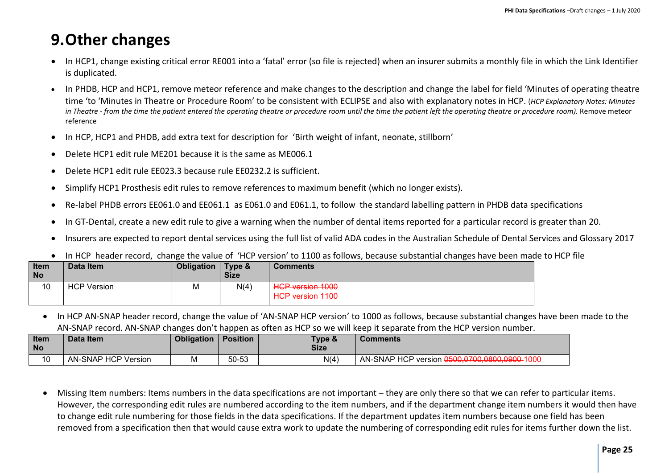# <span id="page-24-0"></span>**9.Other changes**

- In HCP1, change existing critical error RE001 into a 'fatal' error (so file is rejected) when an insurer submits a monthly file in which the Link Identifier is duplicated.
- In PHDB, HCP and HCP1, remove meteor reference and make changes to the description and change the label for field 'Minutes of operating theatre time 'to 'Minutes in Theatre or Procedure Room' to be consistent with ECLIPSE and also with explanatory notes in HCP. (*HCP Explanatory Notes: Minutes in Theatre - from the time the patient entered the operating theatre or procedure room until the time the patient left the operating theatre or procedure room).* Remove meteor reference
- In HCP, HCP1 and PHDB, add extra text for description for 'Birth weight of infant, neonate, stillborn'
- Delete HCP1 edit rule ME201 because it is the same as ME006.1
- Delete HCP1 edit rule EE023.3 because rule EE0232.2 is sufficient.
- Simplify HCP1 Prosthesis edit rules to remove references to maximum benefit (which no longer exists).
- Re-label PHDB errors EE061.0 and EE061.1 as E061.0 and E061.1, to follow the standard labelling pattern in PHDB data specifications
- In GT-Dental, create a new edit rule to give a warning when the number of dental items reported for a particular record is greater than 20.
- Insurers are expected to report dental services using the full list of valid ADA codes in the Australian Schedule of Dental Services and Glossary 2017
- In HCP header record, change the value of 'HCP version' to 1100 as follows, because substantial changes have been made to HCP file

| Item<br><b>No</b> | Data Item          | Obligation | Type &<br><b>Size</b> | <b>Comments</b>                                                     |
|-------------------|--------------------|------------|-----------------------|---------------------------------------------------------------------|
| 10                | <b>HCP Version</b> | M          | N(4)                  | HCD version 1000<br><del>nor voision iouv</del><br>HCP version 1100 |

• In HCP AN-SNAP header record, change the value of 'AN-SNAP HCP version' to 1000 as follows, because substantial changes have been made to the AN-SNAP record. AN-SNAP changes don't happen as often as HCP so we will keep it separate from the HCP version number.

| <b>Item</b><br><b>No</b>      | Data Item           | <b>Obligation</b> | <b>Position</b> | Type 8<br><b>Size</b> | <b>Comments</b> |
|-------------------------------|---------------------|-------------------|-----------------|-----------------------|-----------------|
| $\overline{A}$ $\overline{A}$ | AN-SNAP HCP Version | M                 | 50-53           | N(4)                  |                 |

• Missing Item numbers: Items numbers in the data specifications are not important – they are only there so that we can refer to particular items. However, the corresponding edit rules are numbered according to the item numbers, and if the department change item numbers it would then have to change edit rule numbering for those fields in the data specifications. If the department updates item numbers because one field has been removed from a specification then that would cause extra work to update the numbering of corresponding edit rules for items further down the list.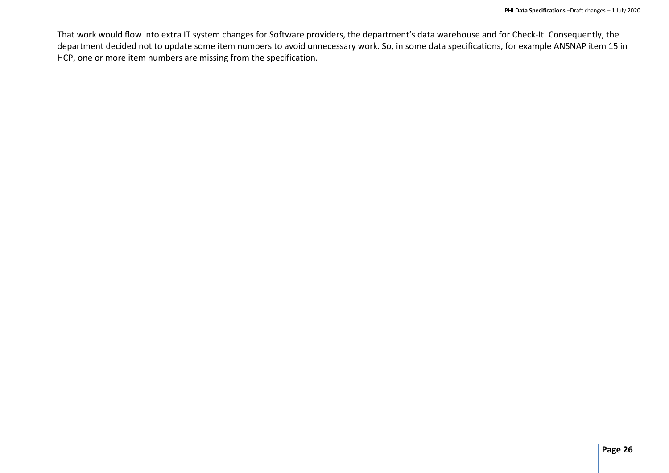That work would flow into extra IT system changes for Software providers, the department's data warehouse and for Check-It. Consequently, the department decided not to update some item numbers to avoid unnecessary work. So, in some data specifications, for example ANSNAP item 15 in HCP, one or more item numbers are missing from the specification.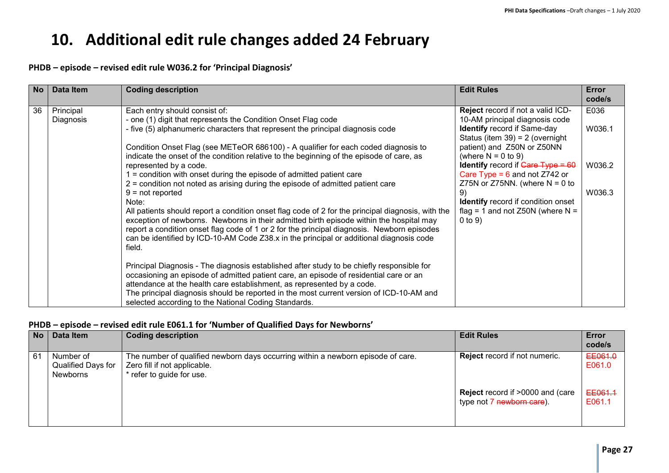# <span id="page-26-0"></span>**10. Additional edit rule changes added 24 February**

### **PHDB – episode – revised edit rule W036.2 for 'Principal Diagnosis'**

| <b>No</b> | <b>Data Item</b>       | <b>Coding description</b>                                                                                                                                                             | <b>Edit Rules</b>                                                               | Error<br>code/s |
|-----------|------------------------|---------------------------------------------------------------------------------------------------------------------------------------------------------------------------------------|---------------------------------------------------------------------------------|-----------------|
| 36        | Principal<br>Diagnosis | Each entry should consist of:<br>- one (1) digit that represents the Condition Onset Flag code                                                                                        | Reject record if not a valid ICD-<br>10-AM principal diagnosis code             | E036            |
|           |                        | - five (5) alphanumeric characters that represent the principal diagnosis code                                                                                                        | <b>Identify record if Same-day</b><br>Status (item $39$ ) = 2 (overnight        | W036.1          |
|           |                        | Condition Onset Flag (see METeOR 686100) - A qualifier for each coded diagnosis to<br>indicate the onset of the condition relative to the beginning of the episode of care, as        | patient) and Z50N or Z50NN<br>(where $N = 0$ to 9)                              |                 |
|           |                        | represented by a code.<br>$\equiv$ condition with onset during the episode of admitted patient care                                                                                   | <b>Identify</b> record if $Gare Type = 60$<br>Care Type = $6$ and not Z742 or   | W036.2          |
|           |                        | 2 = condition not noted as arising during the episode of admitted patient care<br>$9 = not reported$                                                                                  | Z75N or Z75NN. (where $N = 0$ to<br>9)                                          | W036.3          |
|           |                        | Note:<br>All patients should report a condition onset flag code of 2 for the principal diagnosis, with the                                                                            | <b>Identify</b> record if condition onset<br>flag = 1 and not Z50N (where $N =$ |                 |
|           |                        | exception of newborns. Newborns in their admitted birth episode within the hospital may<br>report a condition onset flag code of 1 or 2 for the principal diagnosis. Newborn episodes | $0$ to $9)$                                                                     |                 |
|           |                        | can be identified by ICD-10-AM Code Z38.x in the principal or additional diagnosis code<br>field.                                                                                     |                                                                                 |                 |
|           |                        | Principal Diagnosis - The diagnosis established after study to be chiefly responsible for<br>occasioning an episode of admitted patient care, an episode of residential care or an    |                                                                                 |                 |
|           |                        | attendance at the health care establishment, as represented by a code.<br>The principal diagnosis should be reported in the most current version of ICD-10-AM and                     |                                                                                 |                 |
|           |                        | selected according to the National Coding Standards.                                                                                                                                  |                                                                                 |                 |

#### **PHDB – episode – revised edit rule E061.1 for 'Number of Qualified Days for Newborns'**

| <b>No</b> | Data Item                                   | <b>Coding description</b>                                                                                                                     | <b>Edit Rules</b>                                                    | Error<br>code/s   |
|-----------|---------------------------------------------|-----------------------------------------------------------------------------------------------------------------------------------------------|----------------------------------------------------------------------|-------------------|
| 61        | Number of<br>Qualified Days for<br>Newborns | The number of qualified newborn days occurring within a newborn episode of care.<br>Zero fill if not applicable.<br>* refer to guide for use. | <b>Reject</b> record if not numeric.                                 | EE061.0<br>E061.0 |
|           |                                             |                                                                                                                                               | <b>Reject</b> record if >0000 and (care<br>type not 7 newborn care). | EE061.1<br>E061.1 |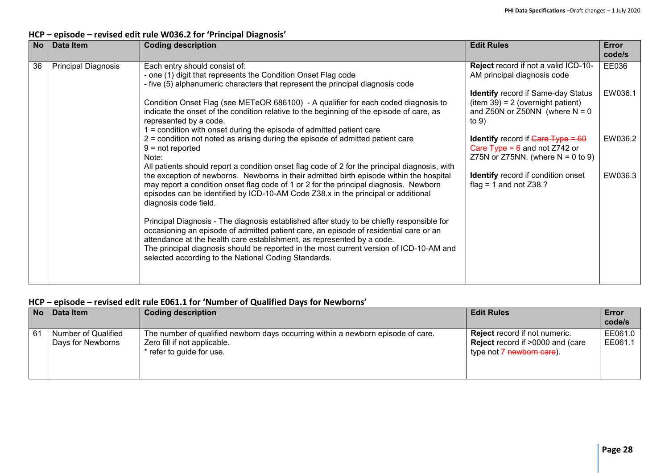### **HCP – episode – revised edit rule W036.2 for 'Principal Diagnosis'**

| <b>No</b> | <b>Data Item</b>                                                                                                                                                                                                | <b>Coding description</b>                                                                                                                                                                                                                                                                                                                                                                                       | <b>Edit Rules</b>                                                                                                              | Error<br>code/s |
|-----------|-----------------------------------------------------------------------------------------------------------------------------------------------------------------------------------------------------------------|-----------------------------------------------------------------------------------------------------------------------------------------------------------------------------------------------------------------------------------------------------------------------------------------------------------------------------------------------------------------------------------------------------------------|--------------------------------------------------------------------------------------------------------------------------------|-----------------|
| 36        | <b>Principal Diagnosis</b>                                                                                                                                                                                      | Each entry should consist of:<br>- one (1) digit that represents the Condition Onset Flag code<br>- five (5) alphanumeric characters that represent the principal diagnosis code                                                                                                                                                                                                                                | Reject record if not a valid ICD-10-<br>AM principal diagnosis code                                                            | EE036           |
|           | represented by a code.<br>1 = condition with onset during the episode of admitted patient care<br>2 = condition not noted as arising during the episode of admitted patient care<br>$9 = not reported$<br>Note: | Condition Onset Flag (see METeOR 686100) - A qualifier for each coded diagnosis to<br>indicate the onset of the condition relative to the beginning of the episode of care, as                                                                                                                                                                                                                                  | <b>Identify</b> record if Same-day Status<br>$item 39) = 2 (overnight patient)$<br>and Z50N or Z50NN (where $N = 0$<br>to $9)$ | EW036.1         |
|           |                                                                                                                                                                                                                 | All patients should report a condition onset flag code of 2 for the principal diagnosis, with                                                                                                                                                                                                                                                                                                                   | <b>Identify</b> record if $Gare Type = 60$<br>Care Type = $6$ and not Z742 or<br>Z75N or Z75NN. (where $N = 0$ to 9)           | EW036.2         |
|           |                                                                                                                                                                                                                 | the exception of newborns. Newborns in their admitted birth episode within the hospital<br>may report a condition onset flag code of 1 or 2 for the principal diagnosis. Newborn<br>episodes can be identified by ICD-10-AM Code Z38.x in the principal or additional<br>diagnosis code field.                                                                                                                  | <b>Identify</b> record if condition onset<br>flag = 1 and not $Z38.?$                                                          | EW036.3         |
|           |                                                                                                                                                                                                                 | Principal Diagnosis - The diagnosis established after study to be chiefly responsible for<br>occasioning an episode of admitted patient care, an episode of residential care or an<br>attendance at the health care establishment, as represented by a code.<br>The principal diagnosis should be reported in the most current version of ICD-10-AM and<br>selected according to the National Coding Standards. |                                                                                                                                |                 |

### **HCP – episode – revised edit rule E061.1 for 'Number of Qualified Days for Newborns'**

| No | Data Item                                | <b>Coding description</b>                                                                                                                     | <b>Edit Rules</b>                                                                                                        | Error<br>code/s    |
|----|------------------------------------------|-----------------------------------------------------------------------------------------------------------------------------------------------|--------------------------------------------------------------------------------------------------------------------------|--------------------|
| 61 | Number of Qualified<br>Days for Newborns | The number of qualified newborn days occurring within a newborn episode of care.<br>Zero fill if not applicable.<br>* refer to guide for use. | <b>Reject</b> record if not numeric.<br><b>Reject</b> record if >0000 and (care<br>type not 7 <del>newborn care</del> ). | EE061.0<br>EE061.1 |